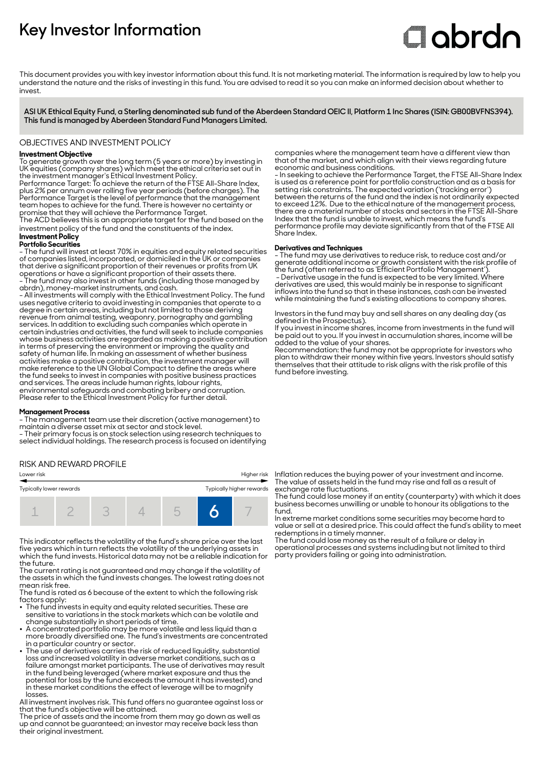# **Key Investor Information**

# **Clobrdn**

This document provides you with key investor information about this fund. It is not marketing material. The information is required by law to help you understand the nature and the risks of investing in this fund. You are advised to read it so you can make an informed decision about whether to invest

**ASI UK Ethical Equity Fund, a Sterling denominated sub fund of the Aberdeen Standard OEIC II, Platform 1 Inc Shares (ISIN: GB00BVFNS394). This fund is managed by Aberdeen Standard Fund Managers Limited.**

## OBJECTIVES AND INVESTMENT POLICY

## **Investment Objective**

To generate growth over the long term (5 years or more) by investing in UK equities (company shares) which meet the ethical criteria set out in the investment manager's Ethical Investment Policy.

Performance Target: To achieve the return of the FTSE All-Share Index, plus 2% per annum over rolling five year periods (before charges). The Performance Target is the level of performance that the management team hopes to achieve for the fund. There is however no certainty or promise that they will achieve the Performance Target.

The ACD believes this is an appropriate target for the fund based on the investment policy of the fund and the constituents of the index.

# **Investment Policy**

**Portfolio Securities** - The fund will invest at least 70% in equities and equity related securities

of companies listed, incorporated, or domiciled in the UK or companies that derive a significant proportion of their revenues or profits from UK operations or have a significant proportion of their assets there. - The fund may also invest in other funds (including those managed by abrdn), money-market instruments, and cash.

- All investments will comply with the Ethical Investment Policy. The fund uses negative criteria to avoid investing in companies that operate to a degree in certain areas, including but not limited to those deriving revenue from animal testing, weaponry, pornography and gambling services. In addition to excluding such companies which operate in certain industries and activities, the fund will seek to include companies whose business activities are regarded as making a positive contribution in terms of preserving the environment or improving the quality and safety of human life. In making an assessment of whether business activities make a positive contribution, the investment manager will make reference to the UN Global Compact to define the areas where the fund seeks to invest in companies with positive business practices and services. The areas include human rights, labour rights, environmental safeguards and combating bribery and corruption. Please refer to the Ethical Investment Policy for further detail.

#### **Management Process**

- The management team use their discretion (active management) to maintain a diverse asset mix at sector and stock level.

- Their primary focus is on stock selection using research techniques to select individual holdings. The research process is focused on identifying

# RISK AND REWARD PROFILE

Lower risk Higher risk

| Typically lower rewards |  | Typically higher rewards |  |  |  |  |
|-------------------------|--|--------------------------|--|--|--|--|
|                         |  |                          |  |  |  |  |

This indicator reflects the volatility of the fund's share price over the last five years which in turn reflects the volatility of the underlying assets in which the fund invests. Historical data may not be a reliable indication for the future.

The current rating is not guaranteed and may change if the volatility of the assets in which the fund invests changes. The lowest rating does not mean risk free.

The fund is rated as 6 because of the extent to which the following risk factors apply:

- $\bullet~$  The fund invests in equity and equity related securities. These are sensitive to variations in the stock markets which can be volatile and change substantially in short periods of time.
- $\bullet\,$  A concentrated portfolio may be more volatile and less liquid than a more broadly diversified one. The fund's investments are concentrated in a particular country or sector.
- 2 The use of derivatives carries the risk of reduced liquidity, substantial loss and increased volatility in adverse market conditions, such as a failure amongst market participants. The use of derivatives may result in the fund being leveraged (where market exposure and thus the potential for loss by the fund exceeds the amount it has invested) and in these market conditions the effect of leverage will be to magnify losses.

All investment involves risk. This fund offers no guarantee against loss or that the fund's objective will be attained.

The price of assets and the income from them may go down as well as up and cannot be guaranteed; an investor may receive back less than their original investment.

companies where the management team have a different view than that of the market, and which align with their views regarding future economic and business conditions.

- In seeking to achieve the Performance Target, the FTSE All-Share Index is used as a reference point for portfolio construction and as a basis for setting risk constraints. The expected variation ('tracking error') between the returns of the fund and the index is not ordinarily expected to exceed 12%. Due to the ethical nature of the management process, there are a material number of stocks and sectors in the FTSE All-Share Index that the fund is unable to invest, which means the fund's performance profile may deviate significantly from that of the FTSE All Share Index.

#### **Derivatives and Techniques**

- The fund may use derivatives to reduce risk, to reduce cost and/or generate additional income or growth consistent with the risk profile of the fund (often referred to as 'Efficient Portfolio Management'). - Derivative usage in the fund is expected to be very limited. Where derivatives are used, this would mainly be in response to significant inflows into the fund so that in these instances, cash can be invested while maintaining the fund's existing allocations to company shares.

Investors in the fund may buy and sell shares on any dealing day (as defined in the Prospectus).

If you invest in income shares, income from investments in the fund will be paid out to you. If you invest in accumulation shares, income will be added to the value of your shares.

Recommendation: the fund may not be appropriate for investors who plan to withdraw their money within five years. Investors should satisfy themselves that their attitude to risk aligns with the risk profile of this fund before investing.

Inflation reduces the buying power of your investment and income. The value of assets held in the fund may rise and fall as a result of exchange rate fluctuations.

The fund could lose money if an entity (counterparty) with which it does business becomes unwilling or unable to honour its obligations to the fund.

In extreme market conditions some securities may become hard to value or sell at a desired price. This could affect the fund's ability to meet redemptions in a timely manner.

The fund could lose money as the result of a failure or delay in operational processes and systems including but not limited to third party providers failing or going into administration.